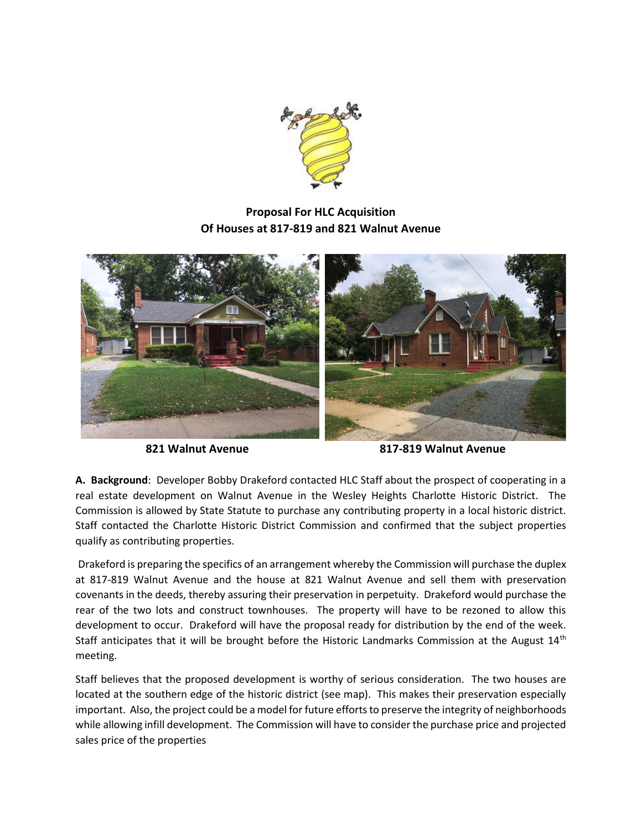

## **Proposal For HLC Acquisition Of Houses at 817-819 and 821 Walnut Avenue**



**821 Walnut Avenue 817-819 Walnut Avenue**

**A. Background**: Developer Bobby Drakeford contacted HLC Staff about the prospect of cooperating in a real estate development on Walnut Avenue in the Wesley Heights Charlotte Historic District. The Commission is allowed by State Statute to purchase any contributing property in a local historic district. Staff contacted the Charlotte Historic District Commission and confirmed that the subject properties qualify as contributing properties.

Drakeford is preparing the specifics of an arrangement whereby the Commission will purchase the duplex at 817-819 Walnut Avenue and the house at 821 Walnut Avenue and sell them with preservation covenants in the deeds, thereby assuring their preservation in perpetuity. Drakeford would purchase the rear of the two lots and construct townhouses. The property will have to be rezoned to allow this development to occur. Drakeford will have the proposal ready for distribution by the end of the week. Staff anticipates that it will be brought before the Historic Landmarks Commission at the August 14<sup>th</sup> meeting.

Staff believes that the proposed development is worthy of serious consideration. The two houses are located at the southern edge of the historic district (see map). This makes their preservation especially important. Also, the project could be a model for future efforts to preserve the integrity of neighborhoods while allowing infill development. The Commission will have to consider the purchase price and projected sales price of the properties